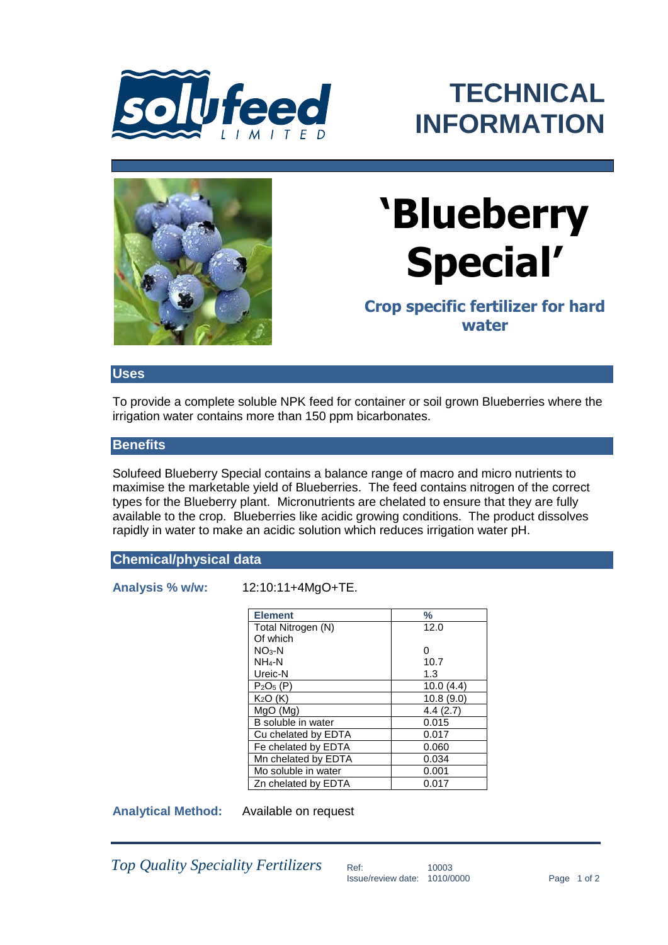

## **TECHNICAL INFORMATION**



# **'Blueberry Special'**

**Crop specific fertilizer for hard water**

#### **Uses**

To provide a complete soluble NPK feed for container or soil grown Blueberries where the irrigation water contains more than 150 ppm bicarbonates.

#### **Benefits**

Solufeed Blueberry Special contains a balance range of macro and micro nutrients to maximise the marketable yield of Blueberries. The feed contains nitrogen of the correct types for the Blueberry plant. Micronutrients are chelated to ensure that they are fully available to the crop. Blueberries like acidic growing conditions. The product dissolves rapidly in water to make an acidic solution which reduces irrigation water pH.

#### **Chemical/physical data**

**Analysis % w/w:** 12:10:11+4MgO+TE.

| <b>Element</b>      | $\%$      |
|---------------------|-----------|
| Total Nitrogen (N)  | 12.0      |
| Of which            |           |
| $NO3-N$             | O         |
| NH4-N               | 10.7      |
| Ureic-N             | 1.3       |
| $P2O5$ (P)          | 10.0(4.4) |
| $K2O$ (K)           | 10.8(9.0) |
| MgO(Mg)             | 4.4(2.7)  |
| B soluble in water  | 0.015     |
| Cu chelated by EDTA | 0.017     |
| Fe chelated by EDTA | 0.060     |
| Mn chelated by EDTA | 0.034     |
| Mo soluble in water | 0.001     |
| Zn chelated by EDTA | 0.017     |
|                     |           |

**Analytical Method:** Available on request

*Top Quality Speciality Fertilizers* Ref: 10003

Issue/review date: 1010/0000 Page 1 of 2